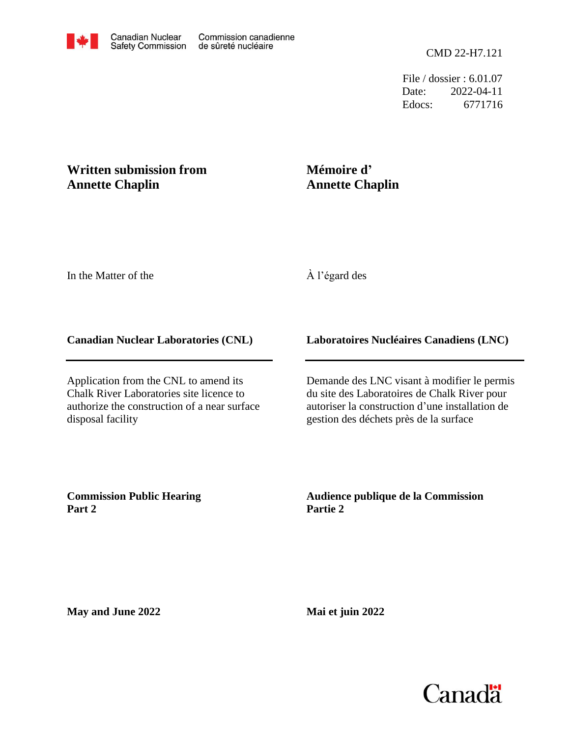File / dossier : 6.01.07 Date: 2022-04-11 Edocs: 6771716

# **Written submission from Annette Chaplin**

## **Mémoire d' Annette Chaplin**

In the Matter of the

# À l'égard des

### **Canadian Nuclear Laboratories (CNL)**

Application from the CNL to amend its Chalk River Laboratories site licence to authorize the construction of a near surface disposal facility

### **Laboratoires Nucléaires Canadiens (LNC)**

Demande des LNC visant à modifier le permis du site des Laboratoires de Chalk River pour autoriser la construction d'une installation de gestion des déchets près de la surface

**Commission Public Hearing Part 2**

**Audience publique de la Commission Partie 2**

**May and June 2022**

**Mai et juin 2022**

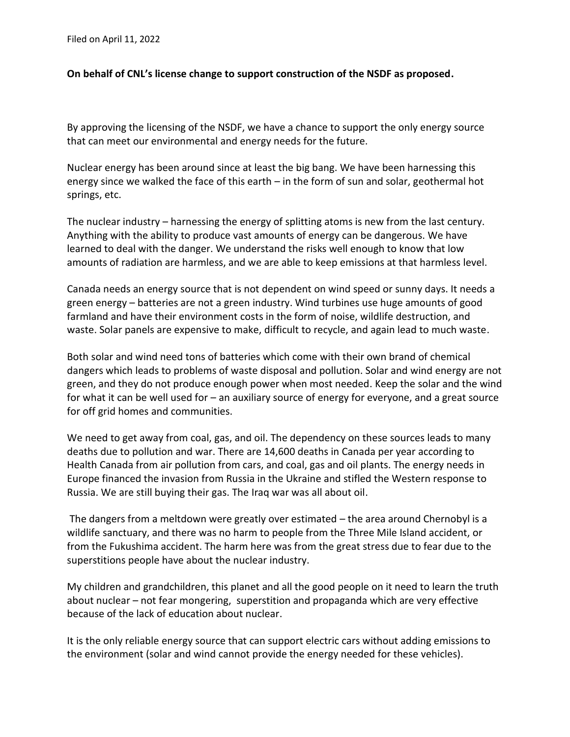Filed on April 11, 2022

#### **On behalf of CNL's license change to support construction of the NSDF as proposed.**

By approving the licensing of the NSDF, we have a chance to support the only energy source that can meet our environmental and energy needs for the future.

Nuclear energy has been around since at least the big bang. We have been harnessing this energy since we walked the face of this earth – in the form of sun and solar, geothermal hot springs, etc.

The nuclear industry – harnessing the energy of splitting atoms is new from the last century. Anything with the ability to produce vast amounts of energy can be dangerous. We have learned to deal with the danger. We understand the risks well enough to know that low amounts of radiation are harmless, and we are able to keep emissions at that harmless level.

Canada needs an energy source that is not dependent on wind speed or sunny days. It needs a green energy – batteries are not a green industry. Wind turbines use huge amounts of good farmland and have their environment costs in the form of noise, wildlife destruction, and waste. Solar panels are expensive to make, difficult to recycle, and again lead to much waste.

Both solar and wind need tons of batteries which come with their own brand of chemical dangers which leads to problems of waste disposal and pollution. Solar and wind energy are not green, and they do not produce enough power when most needed. Keep the solar and the wind for what it can be well used for – an auxiliary source of energy for everyone, and a great source for off grid homes and communities.

We need to get away from coal, gas, and oil. The dependency on these sources leads to many deaths due to pollution and war. There are 14,600 deaths in Canada per year according to Health Canada from air pollution from cars, and coal, gas and oil plants. The energy needs in Europe financed the invasion from Russia in the Ukraine and stifled the Western response to Russia. We are still buying their gas. The Iraq war was all about oil.

The dangers from a meltdown were greatly over estimated – the area around Chernobyl is a wildlife sanctuary, and there was no harm to people from the Three Mile Island accident, or from the Fukushima accident. The harm here was from the great stress due to fear due to the superstitions people have about the nuclear industry.

My children and grandchildren, this planet and all the good people on it need to learn the truth about nuclear – not fear mongering, superstition and propaganda which are very effective because of the lack of education about nuclear.

It is the only reliable energy source that can support electric cars without adding emissions to the environment (solar and wind cannot provide the energy needed for these vehicles).